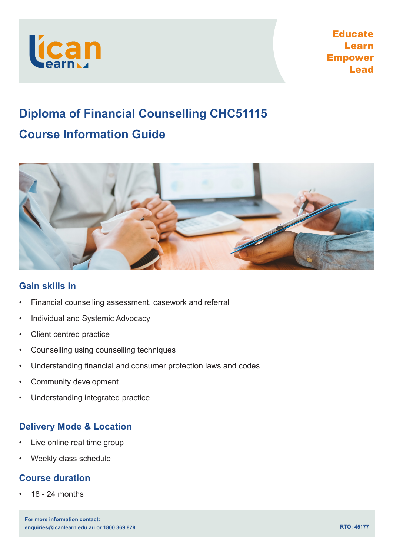

Educate Learn Empower Lead

# **Diploma of Financial Counselling CHC51115 Course Information Guide**



# **Gain skills in**

- Financial counselling assessment, casework and referral
- Individual and Systemic Advocacy
- Client centred practice
- Counselling using counselling techniques
- Understanding financial and consumer protection laws and codes
- Community development
- Understanding integrated practice

# **Delivery Mode & Location**

- Live online real time group
- Weekly class schedule

# **Course duration**

• 18 - 24 months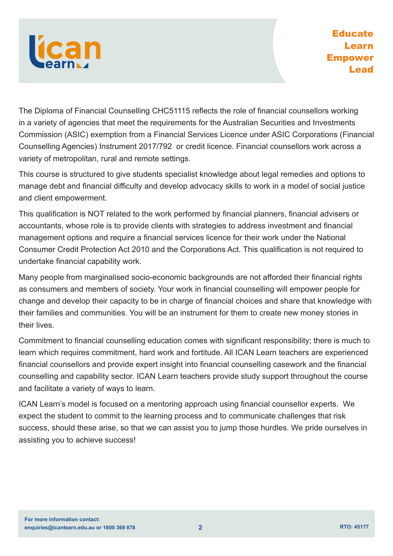

The Diploma of Financial Counselling CHC51115 reflects the role of financial counsellors working in a variety of agencies that meet the requirements for the Australian Securities and Investments Commission (ASIC) exemption from a Financial Services Licence under ASIC Corporations (Financial Counselling Agencies) Instrument 2017/792 or credit licence. Financial counsellors work across a variety of metropolitan, rural and remote settings.

This course is structured to give students specialist knowledge about legal remedies and options to manage debt and financial difficulty and develop advocacy skills to work in a model of social justice and client empowerment.

This qualification is NOT related to the work performed by financial planners, financial advisers or accountants, whose role is to provide clients with strategies to address investment and financial management options and require a financial services licence for their work under the National Consumer Credit Protection Act 2010 and the Corporations Act. This qualification is not required to undertake financial capability work.

Many people from marginalised socio-economic backgrounds are not afforded their financial rights as consumers and members of society. Your work in financial counselling will empower people for change and develop their capacity to be in charge of financial choices and share that knowledge with their families and communities. You will be an instrument for them to create new money stories in their lives.

Commitment to financial counselling education comes with significant responsibility; there is much to learn which requires commitment, hard work and fortitude. All ICAN Learn teachers are experienced financial counsellors and provide expert insight into financial counselling casework and the financial counselling and capability sector. ICAN Learn teachers provide study support throughout the course and facilitate a variety of ways to learn.

ICAN Learn's model is focused on a mentoring approach using financial counsellor experts. We expect the student to commit to the learning process and to communicate challenges that risk success, should these arise, so that we can assist you to jump those hurdles. We pride ourselves in assisting you to achieve success!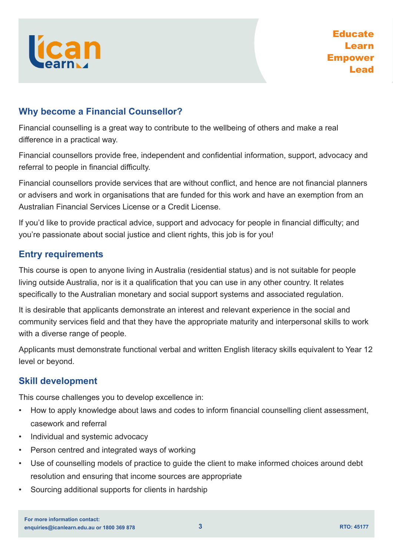

# **Why become a Financial Counsellor?**

Financial counselling is a great way to contribute to the wellbeing of others and make a real difference in a practical way.

Financial counsellors provide free, independent and confidential information, support, advocacy and referral to people in financial difficulty.

Financial counsellors provide services that are without conflict, and hence are not financial planners or advisers and work in organisations that are funded for this work and have an exemption from an Australian Financial Services License or a Credit License.

If you'd like to provide practical advice, support and advocacy for people in financial difficulty; and you're passionate about social justice and client rights, this job is for you!

# **Entry requirements**

This course is open to anyone living in Australia (residential status) and is not suitable for people living outside Australia, nor is it a qualification that you can use in any other country. It relates specifically to the Australian monetary and social support systems and associated regulation.

It is desirable that applicants demonstrate an interest and relevant experience in the social and community services field and that they have the appropriate maturity and interpersonal skills to work with a diverse range of people.

Applicants must demonstrate functional verbal and written English literacy skills equivalent to Year 12 level or beyond.

# **Skill development**

This course challenges you to develop excellence in:

- How to apply knowledge about laws and codes to inform financial counselling client assessment, casework and referral
- Individual and systemic advocacy
- Person centred and integrated ways of working
- Use of counselling models of practice to guide the client to make informed choices around debt resolution and ensuring that income sources are appropriate
- Sourcing additional supports for clients in hardship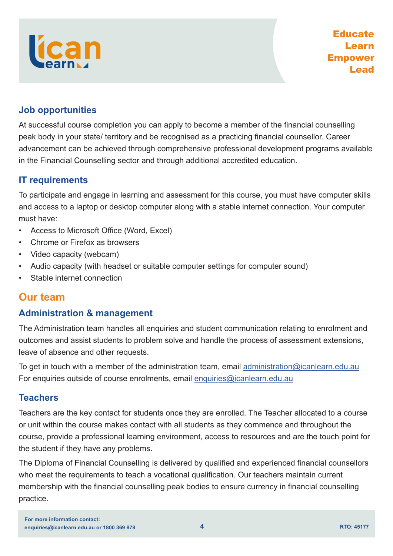# **Job opportunities**

At successful course completion you can apply to become a member of the financial counselling peak body in your state/ territory and be recognised as a practicing financial counsellor. Career advancement can be achieved through comprehensive professional development programs available in the Financial Counselling sector and through additional accredited education.

# **IT requirements**

To participate and engage in learning and assessment for this course, you must have computer skills and access to a laptop or desktop computer along with a stable internet connection. Your computer must have:

- Access to Microsoft Office (Word, Excel)
- Chrome or Firefox as browsers
- Video capacity (webcam)
- Audio capacity (with headset or suitable computer settings for computer sound)
- Stable internet connection

# **Our team**

# **Administration & management**

The Administration team handles all enquiries and student communication relating to enrolment and outcomes and assist students to problem solve and handle the process of assessment extensions, leave of absence and other requests.

To get in touch with a member of the administration team, email [administration@icanlearn.edu.au](mailto:administration%40icanlearn.edu.au?subject=) For enquiries outside of course enrolments, email [enquiries@icanlearn.edu.au](mailto:enquiries%40icanlearn.edu.au?subject=)

# **Teachers**

Teachers are the key contact for students once they are enrolled. The Teacher allocated to a course or unit within the course makes contact with all students as they commence and throughout the course, provide a professional learning environment, access to resources and are the touch point for the student if they have any problems.

The Diploma of Financial Counselling is delivered by qualified and experienced financial counsellors who meet the requirements to teach a vocational qualification. Our teachers maintain current membership with the financial counselling peak bodies to ensure currency in financial counselling practice.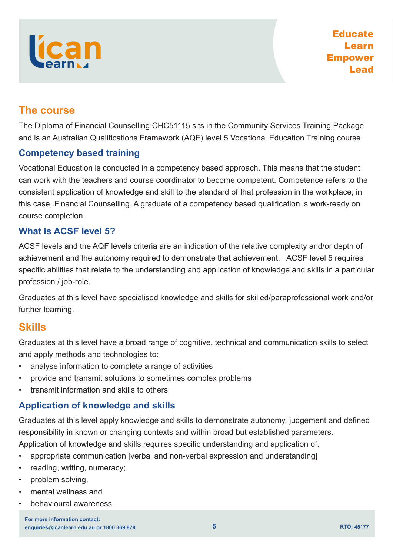# **The course**

The Diploma of Financial Counselling CHC51115 sits in the Community Services Training Package and is an Australian Qualifications Framework (AQF) level 5 Vocational Education Training course.

# **Competency based training**

Vocational Education is conducted in a competency based approach. This means that the student can work with the teachers and course coordinator to become competent. Competence refers to the consistent application of knowledge and skill to the standard of that profession in the workplace, in this case, Financial Counselling. A graduate of a competency based qualification is work-ready on course completion.

# **What is ACSF level 5?**

ACSF levels and the AQF levels criteria are an indication of the relative complexity and/or depth of achievement and the autonomy required to demonstrate that achievement. ACSF level 5 requires specific abilities that relate to the understanding and application of knowledge and skills in a particular profession / job-role.

Graduates at this level have specialised knowledge and skills for skilled/paraprofessional work and/or further learning.

# **Skills**

Graduates at this level have a broad range of cognitive, technical and communication skills to select and apply methods and technologies to:

- analyse information to complete a range of activities
- provide and transmit solutions to sometimes complex problems
- transmit information and skills to others

# **Application of knowledge and skills**

Graduates at this level apply knowledge and skills to demonstrate autonomy, judgement and defined responsibility in known or changing contexts and within broad but established parameters.

Application of knowledge and skills requires specific understanding and application of:

- appropriate communication [verbal and non-verbal expression and understanding]
- reading, writing, numeracy;
- problem solving,
- mental wellness and
- behavioural awareness.

**enquiries@icanlearn.edu.au or 1800 369 878 RTO: 45177 For more information contact:**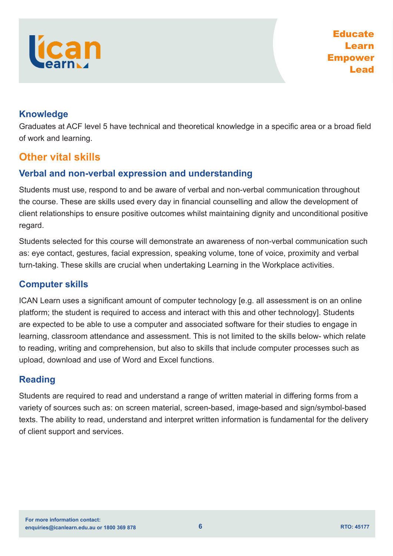# **Knowledge**

Graduates at ACF level 5 have technical and theoretical knowledge in a specific area or a broad field of work and learning.

# **Other vital skills**

# **Verbal and non-verbal expression and understanding**

Students must use, respond to and be aware of verbal and non-verbal communication throughout the course. These are skills used every day in financial counselling and allow the development of client relationships to ensure positive outcomes whilst maintaining dignity and unconditional positive regard.

Students selected for this course will demonstrate an awareness of non-verbal communication such as: eye contact, gestures, facial expression, speaking volume, tone of voice, proximity and verbal turn-taking. These skills are crucial when undertaking Learning in the Workplace activities.

# **Computer skills**

ICAN Learn uses a significant amount of computer technology [e.g. all assessment is on an online platform; the student is required to access and interact with this and other technology]. Students are expected to be able to use a computer and associated software for their studies to engage in learning, classroom attendance and assessment. This is not limited to the skills below- which relate to reading, writing and comprehension, but also to skills that include computer processes such as upload, download and use of Word and Excel functions.

# **Reading**

Students are required to read and understand a range of written material in differing forms from a variety of sources such as: on screen material, screen-based, image-based and sign/symbol-based texts. The ability to read, understand and interpret written information is fundamental for the delivery of client support and services.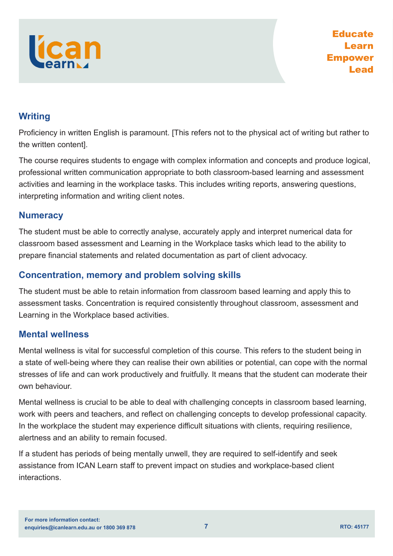

# **Writing**

Proficiency in written English is paramount. [This refers not to the physical act of writing but rather to the written content].

The course requires students to engage with complex information and concepts and produce logical, professional written communication appropriate to both classroom-based learning and assessment activities and learning in the workplace tasks. This includes writing reports, answering questions, interpreting information and writing client notes.

# **Numeracy**

The student must be able to correctly analyse, accurately apply and interpret numerical data for classroom based assessment and Learning in the Workplace tasks which lead to the ability to prepare financial statements and related documentation as part of client advocacy.

# **Concentration, memory and problem solving skills**

The student must be able to retain information from classroom based learning and apply this to assessment tasks. Concentration is required consistently throughout classroom, assessment and Learning in the Workplace based activities.

# **Mental wellness**

Mental wellness is vital for successful completion of this course. This refers to the student being in a state of well-being where they can realise their own abilities or potential, can cope with the normal stresses of life and can work productively and fruitfully. It means that the student can moderate their own behaviour.

Mental wellness is crucial to be able to deal with challenging concepts in classroom based learning, work with peers and teachers, and reflect on challenging concepts to develop professional capacity. In the workplace the student may experience difficult situations with clients, requiring resilience, alertness and an ability to remain focused.

If a student has periods of being mentally unwell, they are required to self-identify and seek assistance from ICAN Learn staff to prevent impact on studies and workplace-based client **interactions**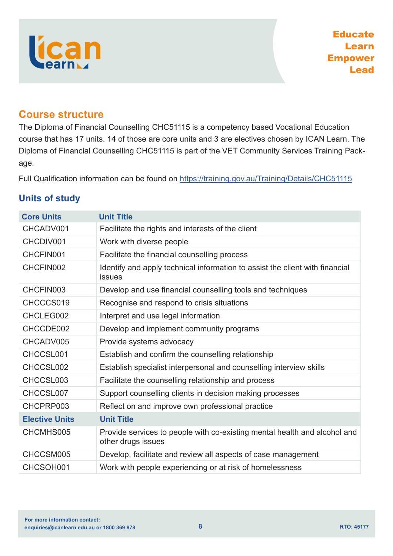# lícan

# **Course structure**

The Diploma of Financial Counselling CHC51115 is a competency based Vocational Education course that has 17 units. 14 of those are core units and 3 are electives chosen by ICAN Learn. The Diploma of Financial Counselling CHC51115 is part of the VET Community Services Training Package.

Full Qualification information can be found on <https://training.gov.au/Training/Details/CHC51115>

|  |  | <b>Units of study</b> |
|--|--|-----------------------|
|--|--|-----------------------|

| <b>Core Units</b>     | <b>Unit Title</b>                                                                               |
|-----------------------|-------------------------------------------------------------------------------------------------|
| CHCADV001             | Facilitate the rights and interests of the client                                               |
| CHCDIV001             | Work with diverse people                                                                        |
| CHCFIN001             | Facilitate the financial counselling process                                                    |
| CHCFIN002             | Identify and apply technical information to assist the client with financial<br><b>issues</b>   |
| CHCFIN003             | Develop and use financial counselling tools and techniques                                      |
| CHCCCS019             | Recognise and respond to crisis situations                                                      |
| CHCLEG002             | Interpret and use legal information                                                             |
| CHCCDE002             | Develop and implement community programs                                                        |
| CHCADV005             | Provide systems advocacy                                                                        |
| CHCCSL001             | Establish and confirm the counselling relationship                                              |
| CHCCSL002             | Establish specialist interpersonal and counselling interview skills                             |
| CHCCSL003             | Facilitate the counselling relationship and process                                             |
| CHCCSL007             | Support counselling clients in decision making processes                                        |
| CHCPRP003             | Reflect on and improve own professional practice                                                |
| <b>Elective Units</b> | <b>Unit Title</b>                                                                               |
| CHCMHS005             | Provide services to people with co-existing mental health and alcohol and<br>other drugs issues |
| CHCCSM005             | Develop, facilitate and review all aspects of case management                                   |
| CHCSOH001             | Work with people experiencing or at risk of homelessness                                        |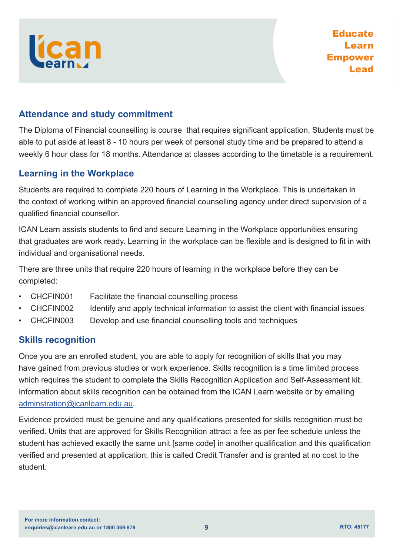

# **Attendance and study commitment**

The Diploma of Financial counselling is course that requires significant application. Students must be able to put aside at least 8 - 10 hours per week of personal study time and be prepared to attend a weekly 6 hour class for 18 months. Attendance at classes according to the timetable is a requirement.

# **Learning in the Workplace**

Students are required to complete 220 hours of Learning in the Workplace. This is undertaken in the context of working within an approved financial counselling agency under direct supervision of a qualified financial counsellor.

ICAN Learn assists students to find and secure Learning in the Workplace opportunities ensuring that graduates are work ready. Learning in the workplace can be flexible and is designed to fit in with individual and organisational needs.

There are three units that require 220 hours of learning in the workplace before they can be completed:

- CHCFIN001 Facilitate the financial counselling process
- CHCFIN002 Identify and apply technical information to assist the client with financial issues
- CHCFIN003 Develop and use financial counselling tools and techniques

# **Skills recognition**

Once you are an enrolled student, you are able to apply for recognition of skills that you may have gained from previous studies or work experience. Skills recognition is a time limited process which requires the student to complete the Skills Recognition Application and Self-Assessment kit. Information about skills recognition can be obtained from the ICAN Learn website or by emailing [adminstration@icanlearn.edu.au](mailto:adminstration%40icanlearn.edu.au?subject=).

Evidence provided must be genuine and any qualifications presented for skills recognition must be verified. Units that are approved for Skills Recognition attract a fee as per fee schedule unless the student has achieved exactly the same unit [same code] in another qualification and this qualification verified and presented at application; this is called Credit Transfer and is granted at no cost to the student.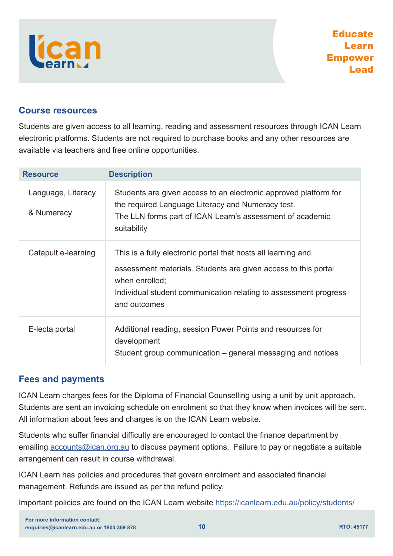# **Course resources**

Students are given access to all learning, reading and assessment resources through ICAN Learn electronic platforms. Students are not required to purchase books and any other resources are available via teachers and free online opportunities.

| <b>Resource</b>                  | <b>Description</b>                                                                                                                                                                                                                    |
|----------------------------------|---------------------------------------------------------------------------------------------------------------------------------------------------------------------------------------------------------------------------------------|
| Language, Literacy<br>& Numeracy | Students are given access to an electronic approved platform for<br>the required Language Literacy and Numeracy test.<br>The LLN forms part of ICAN Learn's assessment of academic<br>suitability                                     |
| Catapult e-learning              | This is a fully electronic portal that hosts all learning and<br>assessment materials. Students are given access to this portal<br>when enrolled;<br>Individual student communication relating to assessment progress<br>and outcomes |
| E-lecta portal                   | Additional reading, session Power Points and resources for<br>development<br>Student group communication – general messaging and notices                                                                                              |

# **Fees and payments**

ICAN Learn charges fees for the Diploma of Financial Counselling using a unit by unit approach. Students are sent an invoicing schedule on enrolment so that they know when invoices will be sent. All information about fees and charges is on the ICAN Learn website.

Students who suffer financial difficulty are encouraged to contact the finance department by emailing [accounts@ican.org.au](mailto:accounts%40ican.org.au?subject=) to discuss payment options. Failure to pay or negotiate a suitable arrangement can result in course withdrawal.

ICAN Learn has policies and procedures that govern enrolment and associated financial management. Refunds are issued as per the refund policy.

Important policies are found on the ICAN Learn website <https://icanlearn.edu.au/policy/students/>